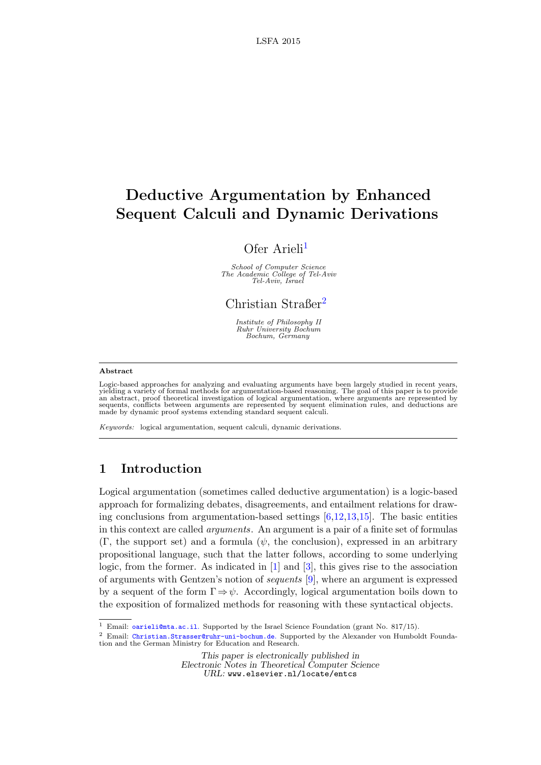# Deductive Argumentation by Enhanced Sequent Calculi and Dynamic Derivations

# Ofer Arieli<sup>[1](#page-0-0)</sup>

School of Computer Science The Academic College of Tel-Aviv Tel-Aviv, Israel

Christian Straßer<sup>[2](#page-0-0)</sup>

Institute of Philosophy II Ruhr University Bochum Bochum, Germany

### <span id="page-0-0"></span>Abstract

Logic-based approaches for analyzing and evaluating arguments have been largely studied in recent years,<br>yielding a variety of formal methods for argumentation-based reasoning. The goal of this paper is to provide<br>an abstr made by dynamic proof systems extending standard sequent calculi.

Keywords: logical argumentation, sequent calculi, dynamic derivations.

## 1 Introduction

Logical argumentation (sometimes called deductive argumentation) is a logic-based approach for formalizing debates, disagreements, and entailment relations for drawing conclusions from argumentation-based settings  $[6,12,13,15]$  $[6,12,13,15]$  $[6,12,13,15]$  $[6,12,13,15]$ . The basic entities in this context are called arguments. An argument is a pair of a finite set of formulas  $(\Gamma,$  the support set) and a formula  $(\psi,$  the conclusion), expressed in an arbitrary propositional language, such that the latter follows, according to some underlying logic, from the former. As indicated in  $[1]$  and  $[3]$ , this gives rise to the association of arguments with Gentzen's notion of sequents [\[9\]](#page-13-6), where an argument is expressed by a sequent of the form  $\Gamma \Rightarrow \psi$ . Accordingly, logical argumentation boils down to the exposition of formalized methods for reasoning with these syntactical objects.

This paper is electronically published in Electronic Notes in Theoretical Computer Science URL: www.elsevier.nl/locate/entcs

<sup>&</sup>lt;sup>1</sup> Email: [oarieli@mta.ac.il](mailto:oarieli@mta.ac.il). Supported by the Israel Science Foundation (grant No. 817/15).

<sup>2</sup> Email: [Christian.Strasser@ruhr-uni-bochum.de](mailto:Christian.Strasser@ruhr-uni-bochum.de). Supported by the Alexander von Humboldt Foundation and the German Ministry for Education and Research.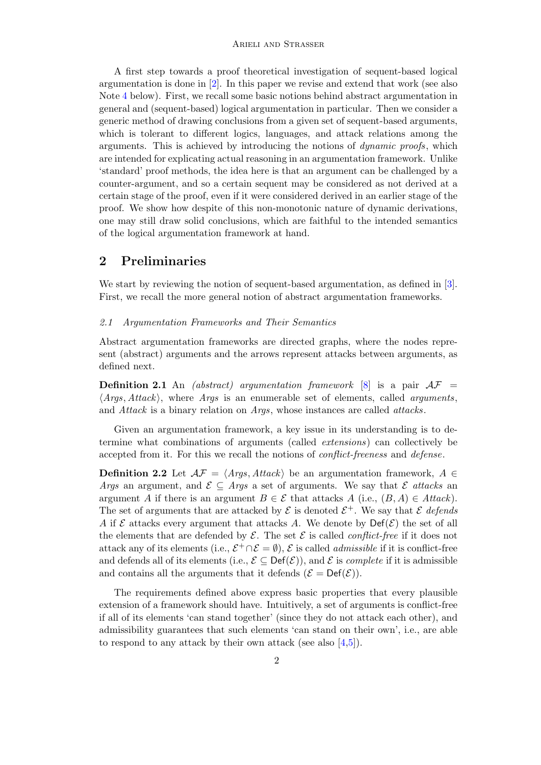A first step towards a proof theoretical investigation of sequent-based logical argumentation is done in [\[2\]](#page-13-7). In this paper we revise and extend that work (see also Note [4](#page-11-0) below). First, we recall some basic notions behind abstract argumentation in general and (sequent-based) logical argumentation in particular. Then we consider a generic method of drawing conclusions from a given set of sequent-based arguments, which is tolerant to different logics, languages, and attack relations among the arguments. This is achieved by introducing the notions of dynamic proofs, which are intended for explicating actual reasoning in an argumentation framework. Unlike 'standard' proof methods, the idea here is that an argument can be challenged by a counter-argument, and so a certain sequent may be considered as not derived at a certain stage of the proof, even if it were considered derived in an earlier stage of the proof. We show how despite of this non-monotonic nature of dynamic derivations, one may still draw solid conclusions, which are faithful to the intended semantics of the logical argumentation framework at hand.

### 2 Preliminaries

We start by reviewing the notion of sequent-based argumentation, as defined in [\[3\]](#page-13-5). First, we recall the more general notion of abstract argumentation frameworks.

### 2.1 Argumentation Frameworks and Their Semantics

Abstract argumentation frameworks are directed graphs, where the nodes represent (abstract) arguments and the arrows represent attacks between arguments, as defined next.

**Definition 2.1** An *(abstract)* argumentation framework [\[8\]](#page-13-8) is a pair  $AF =$  $\langle Args, Attack\rangle$ , where *Args* is an enumerable set of elements, called *arguments*, and Attack is a binary relation on Args, whose instances are called attacks.

Given an argumentation framework, a key issue in its understanding is to determine what combinations of arguments (called extensions) can collectively be accepted from it. For this we recall the notions of conflict-freeness and defense.

**Definition 2.2** Let  $\mathcal{AF} = \langle \text{Args}, \text{Attack} \rangle$  be an argumentation framework,  $A \in$ *Args* an argument, and  $\mathcal{E} \subseteq \text{Arg } s$  a set of arguments. We say that  $\mathcal{E}$  attacks an argument A if there is an argument  $B \in \mathcal{E}$  that attacks  $A$  (i.e.,  $(B, A) \in Attack$ ). The set of arguments that are attacked by  $\mathcal E$  is denoted  $\mathcal E^+$ . We say that  $\mathcal E$  defends A if  $\mathcal E$  attacks every argument that attacks A. We denote by  $\mathrm{Def}(\mathcal E)$  the set of all the elements that are defended by  $\mathcal E$ . The set  $\mathcal E$  is called *conflict-free* if it does not attack any of its elements (i.e.,  $\mathcal{E}^+ \cap \mathcal{E} = \emptyset$ ),  $\mathcal{E}$  is called *admissible* if it is conflict-free and defends all of its elements (i.e.,  $\mathcal{E} \subseteq \mathsf{Def}(\mathcal{E})$ ), and  $\mathcal{E}$  is *complete* if it is admissible and contains all the arguments that it defends  $(\mathcal{E} = \text{Def}(\mathcal{E}))$ .

The requirements defined above express basic properties that every plausible extension of a framework should have. Intuitively, a set of arguments is conflict-free if all of its elements 'can stand together' (since they do not attack each other), and admissibility guarantees that such elements 'can stand on their own', i.e., are able to respond to any attack by their own attack (see also [\[4](#page-13-9)[,5\]](#page-13-10)).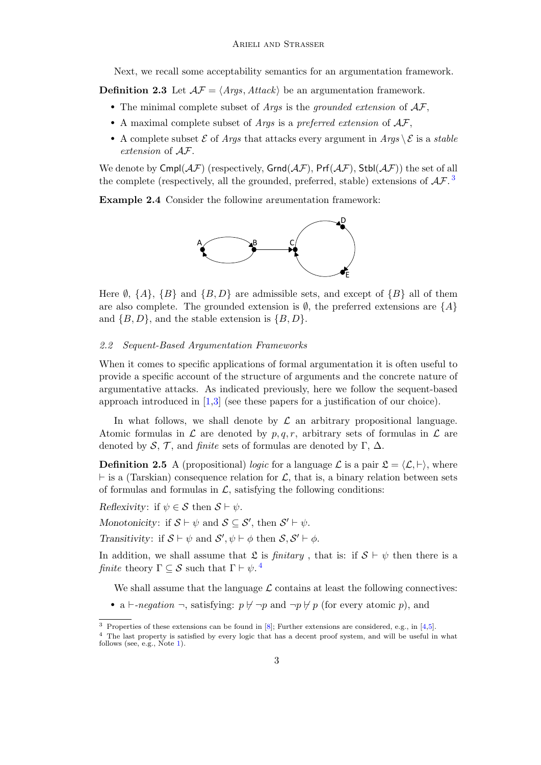Next, we recall some acceptability semantics for an argumentation framework.

**Definition 2.3** Let  $AF = \langle Args, Attack\rangle$  be an argumentation framework.

- The minimal complete subset of *Args* is the *grounded extension* of  $AF$ ,
- A maximal complete subset of *Args* is a preferred extension of  $AF$ ,
- A complete subset  $\mathcal E$  of Args that attacks every argument in Args  $\setminus \mathcal E$  is a stable extension of AF.

We denote by  $Cmpl(\mathcal{AF})$  (respectively,  $Grnd(\mathcal{AF})$ ,  $Prf(\mathcal{AF})$ ,  $Stbl(\mathcal{AF})$ ) the set of all the complete (respectively, all the grounded, preferred, stable) extensions of  $\mathcal{AF}$ .

Example 2.4 Consider the following argumentation framework:



Here  $\emptyset$ ,  $\{A\}$ ,  $\{B\}$  and  $\{B, D\}$  are admissible sets, and except of  $\{B\}$  all of them are also complete. The grounded extension is  $\emptyset$ , the preferred extensions are  $\{A\}$ and  $\{B, D\}$ , and the stable extension is  $\{B, D\}$ .

### 2.2 Sequent-Based Argumentation Frameworks

When it comes to specific applications of formal argumentation it is often useful to provide a specific account of the structure of arguments and the concrete nature of argumentative attacks. As indicated previously, here we follow the sequent-based approach introduced in [\[1,](#page-13-4)[3\]](#page-13-5) (see these papers for a justification of our choice).

In what follows, we shall denote by  $\mathcal L$  an arbitrary propositional language. Atomic formulas in  $\mathcal L$  are denoted by  $p, q, r$ , arbitrary sets of formulas in  $\mathcal L$  are denoted by S, T, and finite sets of formulas are denoted by  $\Gamma$ ,  $\Delta$ .

**Definition 2.5** A (propositional) logic for a language  $\mathcal{L}$  is a pair  $\mathcal{L} = \langle \mathcal{L}, \vdash \rangle$ , where  $\vdash$  is a (Tarskian) consequence relation for L, that is, a binary relation between sets of formulas and formulas in  $\mathcal{L}$ , satisfying the following conditions:

Reflexivity: if  $\psi \in \mathcal{S}$  then  $\mathcal{S} \vdash \psi$ .

Monotonicity: if  $S \vdash \psi$  and  $S \subseteq S'$ , then  $S' \vdash \psi$ .

Transitivity: if  $S \vdash \psi$  and  $S', \psi \vdash \phi$  then  $S, S' \vdash \phi$ .

In addition, we shall assume that  $\mathfrak L$  is *finitary*, that is: if  $\mathcal S \vdash \psi$  then there is a finite theory  $\Gamma \subseteq \mathcal{S}$  such that  $\Gamma \vdash \psi$ .<sup>[4](#page-2-1)</sup>

We shall assume that the language  $\mathcal L$  contains at least the following connectives:

• a  $\vdash$ -negation  $\neg$ , satisfying:  $p \not\vdash \neg p$  and  $\neg p \not\vdash p$  (for every atomic p), and

<span id="page-2-0"></span><sup>3</sup> Properties of these extensions can be found in [\[8\]](#page-13-8); Further extensions are considered, e.g., in [\[4](#page-13-9)[,5\]](#page-13-10).

<span id="page-2-1"></span><sup>4</sup> The last property is satisfied by every logic that has a decent proof system, and will be useful in what follows (see, e.g., Note [1\)](#page-3-0).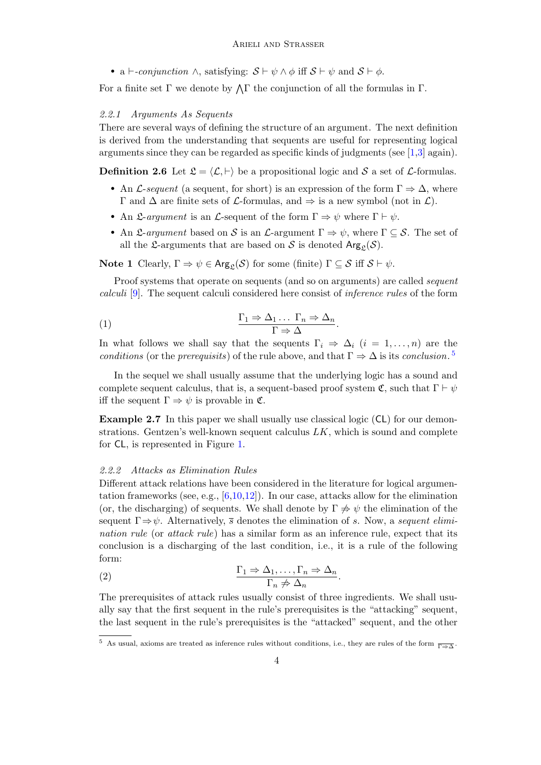• a  $\vdash$ -conjunction  $\land$ , satisfying:  $S \vdash \psi \land \phi$  iff  $S \vdash \psi$  and  $S \vdash \phi$ .

For a finite set  $\Gamma$  we denote by  $\Lambda \Gamma$  the conjunction of all the formulas in  $\Gamma$ .

### 2.2.1 Arguments As Sequents

There are several ways of defining the structure of an argument. The next definition is derived from the understanding that sequents are useful for representing logical arguments since they can be regarded as specific kinds of judgments (see  $[1,3]$  $[1,3]$  again).

**Definition 2.6** Let  $\mathcal{L} = \langle \mathcal{L}, \vdash \rangle$  be a propositional logic and S a set of L-formulas.

- An L-sequent (a sequent, for short) is an expression of the form  $\Gamma \Rightarrow \Delta$ , where  $\Gamma$  and  $\Delta$  are finite sets of  $\mathcal L$ -formulas, and  $\Rightarrow$  is a new symbol (not in  $\mathcal L$ ).
- An L-argument is an L-sequent of the form  $\Gamma \Rightarrow \psi$  where  $\Gamma \vdash \psi$ .
- An L-argument based on S is an L-argument  $\Gamma \Rightarrow \psi$ , where  $\Gamma \subseteq \mathcal{S}$ . The set of all the L-arguments that are based on S is denoted  $\text{Arg}_{\mathcal{L}}(\mathcal{S})$ .

<span id="page-3-0"></span>**Note 1** Clearly,  $\Gamma \Rightarrow \psi \in \text{Arg}_{\mathcal{L}}(\mathcal{S})$  for some (finite)  $\Gamma \subseteq \mathcal{S}$  iff  $\mathcal{S} \vdash \psi$ .

Proof systems that operate on sequents (and so on arguments) are called *sequent* calculi [\[9\]](#page-13-6). The sequent calculi considered here consist of inference rules of the form

<span id="page-3-2"></span>(1) 
$$
\frac{\Gamma_1 \Rightarrow \Delta_1 \dots \Gamma_n \Rightarrow \Delta_n}{\Gamma \Rightarrow \Delta}.
$$

In what follows we shall say that the sequents  $\Gamma_i \Rightarrow \Delta_i$   $(i = 1, \ldots, n)$  are the conditions (or the prerequisits) of the rule above, and that  $\Gamma \Rightarrow \Delta$  is its conclusion.<sup>[5](#page-3-1)</sup>

In the sequel we shall usually assume that the underlying logic has a sound and complete sequent calculus, that is, a sequent-based proof system  $\mathfrak{C}$ , such that  $\Gamma \vdash \psi$ iff the sequent  $\Gamma \Rightarrow \psi$  is provable in  $\mathfrak{C}$ .

Example 2.7 In this paper we shall usually use classical logic (CL) for our demonstrations. Gentzen's well-known sequent calculus  $LK$ , which is sound and complete for CL, is represented in Figure [1.](#page-4-0)

#### 2.2.2 Attacks as Elimination Rules

Different attack relations have been considered in the literature for logical argumentation frameworks (see, e.g.,  $[6,10,12]$  $[6,10,12]$  $[6,10,12]$ ). In our case, attacks allow for the elimination (or, the discharging) of sequents. We shall denote by  $\Gamma \neq \psi$  the elimination of the sequent  $\Gamma \Rightarrow \psi$ . Alternatively,  $\bar{s}$  denotes the elimination of s. Now, a sequent elimination rule (or attack rule) has a similar form as an inference rule, expect that its conclusion is a discharging of the last condition, i.e., it is a rule of the following form:

<span id="page-3-3"></span>(2) 
$$
\frac{\Gamma_1 \Rightarrow \Delta_1, \dots, \Gamma_n \Rightarrow \Delta_n}{\Gamma_n \neq \Delta_n}.
$$

The prerequisites of attack rules usually consist of three ingredients. We shall usually say that the first sequent in the rule's prerequisites is the "attacking" sequent, the last sequent in the rule's prerequisites is the "attacked" sequent, and the other

<span id="page-3-1"></span><sup>&</sup>lt;sup>5</sup> As usual, axioms are treated as inference rules without conditions, i.e., they are rules of the form  $\frac{}{\Gamma \Rightarrow \Delta}$ .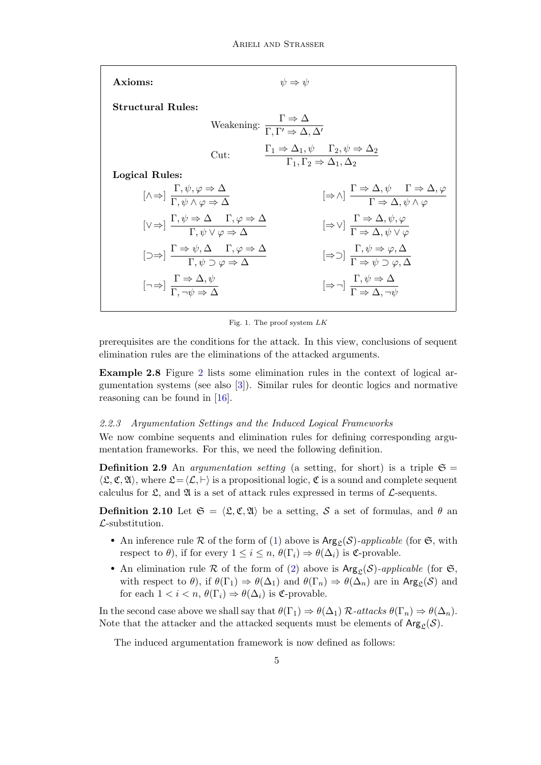| Axioms:                                                                                                                                                  | $\psi \Rightarrow \psi$                                                                                                                               |
|----------------------------------------------------------------------------------------------------------------------------------------------------------|-------------------------------------------------------------------------------------------------------------------------------------------------------|
| <b>Structural Rules:</b>                                                                                                                                 |                                                                                                                                                       |
|                                                                                                                                                          | Weakening: $\frac{\Gamma \Rightarrow \Delta}{\Gamma \Gamma' \Rightarrow \Delta \Delta'}$                                                              |
| Cut:                                                                                                                                                     | $\Gamma_1 \Rightarrow \Delta_1, \psi \quad \Gamma_2, \psi \Rightarrow \Delta_2$<br>$\Gamma_1, \Gamma_2 \Rightarrow \Delta_1, \Delta_2$                |
| Logical Rules:                                                                                                                                           |                                                                                                                                                       |
| $[\wedge \Rightarrow] \frac{1, \psi, \varphi \Rightarrow \Delta}{\Gamma \psi \wedge \varphi \Rightarrow \Delta}$                                         | $[\Rightarrow \wedge] \frac{\Gamma \Rightarrow \Delta, \psi \quad \Gamma \Rightarrow \Delta, \varphi}{\Gamma \Rightarrow \wedge \psi \wedge \varphi}$ |
| $[\vee \Rightarrow] \frac{\Gamma, \psi \Rightarrow \Delta}{\Gamma, \psi \vee \varphi \Rightarrow \Delta}$                                                | $[\Rightarrow \vee] \frac{\Gamma \Rightarrow \Delta, \psi, \varphi}{\Gamma \Rightarrow \Delta, \psi \vee \varphi}$                                    |
| $[\supset \Rightarrow] \frac{\Gamma \Rightarrow \psi, \Delta \quad \Gamma, \varphi \Rightarrow \Delta}{\Gamma, \psi \supset \varphi \Rightarrow \Delta}$ | $[\Rightarrow \supset] \frac{\Gamma, \psi \Rightarrow \varphi, \Delta}{\Gamma \Rightarrow \psi \supset \varphi, \Delta}$                              |
| $\left[\neg \Rightarrow\right] \xrightarrow[\Gamma \Rightarrow \phi]{} \xrightarrow[\Delta \Rightarrow \phi]{} \xrightarrow[\Delta \Rightarrow \phi]{}$  | $[\Rightarrow \neg] \frac{\Gamma, \psi \Rightarrow \Delta}{\Gamma \Rightarrow \Delta \neg \psi}$                                                      |
|                                                                                                                                                          |                                                                                                                                                       |

<span id="page-4-0"></span>Fig. 1. The proof system LK

prerequisites are the conditions for the attack. In this view, conclusions of sequent elimination rules are the eliminations of the attacked arguments.

Example 2.8 Figure [2](#page-5-0) lists some elimination rules in the context of logical argumentation systems (see also [\[3\]](#page-13-5)). Similar rules for deontic logics and normative reasoning can be found in [\[16\]](#page-13-12).

### 2.2.3 Argumentation Settings and the Induced Logical Frameworks

We now combine sequents and elimination rules for defining corresponding argumentation frameworks. For this, we need the following definition.

**Definition 2.9** An *argumentation setting* (a setting, for short) is a triple  $\mathfrak{S} =$  $\langle \mathfrak{L}, \mathfrak{C}, \mathfrak{A} \rangle$ , where  $\mathfrak{L} = \langle \mathcal{L}, \vdash \rangle$  is a propositional logic,  $\mathfrak{C}$  is a sound and complete sequent calculus for  $\mathfrak{L}$ , and  $\mathfrak{A}$  is a set of attack rules expressed in terms of  $\mathcal{L}$ -sequents.

**Definition 2.10** Let  $\mathfrak{S} = \langle \mathfrak{L}, \mathfrak{C}, \mathfrak{A} \rangle$  be a setting, S a set of formulas, and  $\theta$  and  $\mathcal{L}$ -substitution.

- An inference rule R of the form of [\(1\)](#page-3-2) above is  $\text{Arg}_{\mathfrak{L}}(\mathcal{S})$ -applicable (for  $\mathfrak{S}$ , with respect to  $\theta$ ), if for every  $1 \leq i \leq n$ ,  $\theta(\Gamma_i) \Rightarrow \theta(\Delta_i)$  is  $\mathfrak{C}$ -provable.
- An elimination rule R of the form of [\(2\)](#page-3-3) above is  $Arg_{\mathcal{L}}(\mathcal{S})$ -applicable (for  $\mathfrak{S}$ , with respect to  $\theta$ ), if  $\theta(\Gamma_1) \Rightarrow \theta(\Delta_1)$  and  $\theta(\Gamma_n) \Rightarrow \theta(\Delta_n)$  are in Arg<sub>c</sub>(S) and for each  $1 < i < n$ ,  $\theta(\Gamma_i) \Rightarrow \theta(\Delta_i)$  is  $\mathfrak{C}$ -provable.

In the second case above we shall say that  $\theta(\Gamma_1) \Rightarrow \theta(\Delta_1) \mathcal{R}\text{-} attacks \theta(\Gamma_n) \Rightarrow \theta(\Delta_n)$ . Note that the attacker and the attacked sequents must be elements of  $Arg_c(S)$ .

The induced argumentation framework is now defined as follows: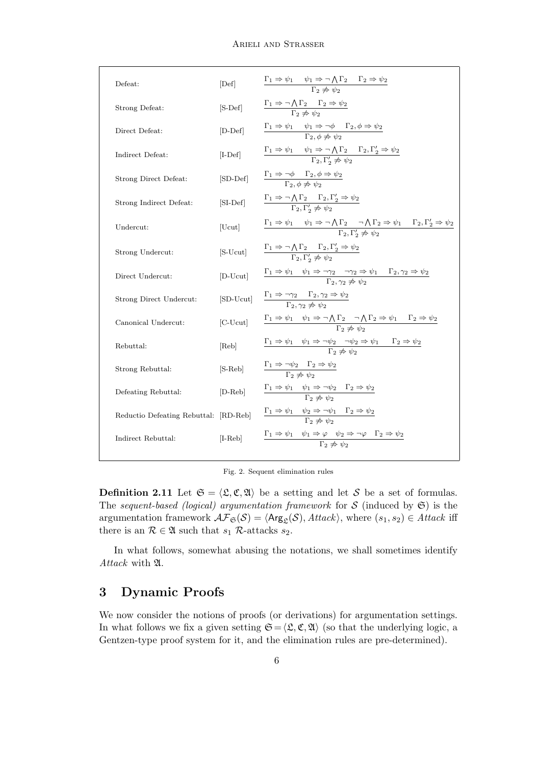| Defeat:                               | [Def]      | $\frac{\Gamma_1 \Rightarrow \psi_1 \quad \psi_1 \Rightarrow \neg \bigwedge \Gamma_2 \quad \Gamma_2 \Rightarrow \psi_2}{\Gamma_2 \not\Rightarrow \psi_2}$                                                                 |
|---------------------------------------|------------|--------------------------------------------------------------------------------------------------------------------------------------------------------------------------------------------------------------------------|
| Strong Defeat:                        | $[S-Def]$  | $\frac{\Gamma_1 \Rightarrow \neg \bigwedge \Gamma_2 \qquad \Gamma_2 \Rightarrow \psi_2}{\Gamma_2 \not\Rightarrow \psi_2}$                                                                                                |
| Direct Defeat:                        | $[D-Def]$  | $\frac{\Gamma_1 \Rightarrow \psi_1 \quad \psi_1 \Rightarrow \neg \phi \quad \Gamma_2, \phi \Rightarrow \psi_2}{\Gamma_2, \phi \not\Rightarrow \psi_2}$                                                                   |
| Indirect Defeat:                      | $[L-Def]$  | $\frac{\Gamma_1 \Rightarrow \psi_1 \quad \psi_1 \Rightarrow \neg \bigwedge \Gamma_2 \quad \Gamma_2, \Gamma'_2 \Rightarrow \psi_2}{\Gamma_2, \Gamma'_2 \not\Rightarrow \psi_2}$                                           |
| Strong Direct Defeat:                 | [SD-Def]   | $\frac{\Gamma_1 \Rightarrow \neg \phi \quad \Gamma_2, \phi \Rightarrow \psi_2}{\Gamma_2, \phi \Rightarrow \psi_2}$                                                                                                       |
| Strong Indirect Defeat:               | $[SI-Def]$ | $\frac{\Gamma_1 \Rightarrow \neg \bigwedge \Gamma_2 \qquad \Gamma_2, \Gamma'_2 \Rightarrow \psi_2}{\Gamma_2, \Gamma'_2 \not\Rightarrow \psi_2}$                                                                          |
| Undercut:                             | [Ucut]     | $\Gamma_1 \Rightarrow \psi_1 \quad \psi_1 \Rightarrow \neg \bigwedge \Gamma_2 \quad \neg \bigwedge \Gamma_2 \Rightarrow \psi_1 \quad \Gamma_2, \Gamma'_2 \Rightarrow \psi_2$<br>$\Gamma_2, \Gamma'_2 \Rightarrow \psi_2$ |
| Strong Undercut:                      | [S-Ucut]   | $\frac{\Gamma_1 \Rightarrow \neg \bigwedge \Gamma_2 \qquad \Gamma_2, \Gamma'_2 \Rightarrow \psi_2}{\Gamma_2, \Gamma'_2 \not\Rightarrow \psi_2}$                                                                          |
| Direct Undercut:                      | $[D-Ucut]$ | $\frac{\Gamma_1 \Rightarrow \psi_1 \quad \psi_1 \Rightarrow \neg \gamma_2 \quad \neg \gamma_2 \Rightarrow \psi_1 \quad \Gamma_2, \gamma_2 \Rightarrow \psi_2}{\Gamma_2, \gamma_2 \Rightarrow \psi_2}$                    |
| Strong Direct Undercut:               | [SD-Ucut]  | $\frac{\Gamma_1 \Rightarrow \neg \gamma_2 \quad \Gamma_2, \gamma_2 \Rightarrow \psi_2}{\Gamma_2, \gamma_2 \not\Rightarrow \psi_2}$                                                                                       |
| Canonical Undercut:                   | $[C-Ucut]$ | $\Gamma_1 \Rightarrow \psi_1 \quad \psi_1 \Rightarrow \neg \bigwedge \Gamma_2 \quad \neg \bigwedge \Gamma_2 \Rightarrow \psi_1 \quad \Gamma_2 \Rightarrow \psi_2$<br>$\Gamma_2 \Rightarrow \psi_2$                       |
| Rebuttal:                             | [Reb]      | $\Gamma_1 \Rightarrow \psi_1 \quad \psi_1 \Rightarrow \neg \psi_2 \quad \neg \psi_2 \Rightarrow \psi_1 \quad \Gamma_2 \Rightarrow \psi_2$<br>$\Gamma_2 \Rightarrow \psi_2$                                               |
| Strong Rebuttal:                      | $[S-Reb]$  | $\frac{\Gamma_1 \Rightarrow \neg \psi_2 \quad \Gamma_2 \Rightarrow \psi_2}{\Gamma_2 \not\Rightarrow \psi_2}$                                                                                                             |
| Defeating Rebuttal:                   | $[D-Reb]$  | $\frac{\Gamma_1 \Rightarrow \psi_1 \quad \psi_1 \Rightarrow \neg \psi_2 \quad \Gamma_2 \Rightarrow \psi_2}{\Gamma_2 \not\Rightarrow \psi_2}$                                                                             |
| Reductio Defeating Rebuttal: [RD-Reb] |            | $\Gamma_1 \Rightarrow \psi_1 \quad \psi_2 \Rightarrow \neg \psi_1 \quad \Gamma_2 \Rightarrow \psi_2$<br>$\Gamma_2 \Rightarrow \psi_2$                                                                                    |
| Indirect Rebuttal:                    | $[I-Reb]$  | $\Gamma_1 \Rightarrow \psi_1 \quad \psi_1 \Rightarrow \varphi \quad \psi_2 \Rightarrow \neg \varphi \quad \Gamma_2 \Rightarrow \psi_2$<br>$\Gamma_2 \not\Rightarrow \psi_2$                                              |

<span id="page-5-0"></span>Fig. 2. Sequent elimination rules

**Definition 2.11** Let  $\mathfrak{S} = \langle \mathfrak{L}, \mathfrak{C}, \mathfrak{A} \rangle$  be a setting and let S be a set of formulas. The sequent-based (logical) argumentation framework for  $S$  (induced by  $\mathfrak{S}$ ) is the argumentation framework  $\mathcal{AF}_{\mathfrak{S}}(\mathcal{S}) = \langle \mathsf{Arg}_{\mathfrak{L}}(\mathcal{S}), \mathit{Attack}\rangle$ , where  $(s_1, s_2) \in \mathit{Attack}$  iff there is an  $\mathcal{R} \in \mathfrak{A}$  such that  $s_1$  R-attacks  $s_2$ .

In what follows, somewhat abusing the notations, we shall sometimes identify Attack with  $\mathfrak{A}$ .

# 3 Dynamic Proofs

We now consider the notions of proofs (or derivations) for argumentation settings. In what follows we fix a given setting  $\mathfrak{S}=\langle \mathfrak{L}, \mathfrak{C}, \mathfrak{A} \rangle$  (so that the underlying logic, a Gentzen-type proof system for it, and the elimination rules are pre-determined).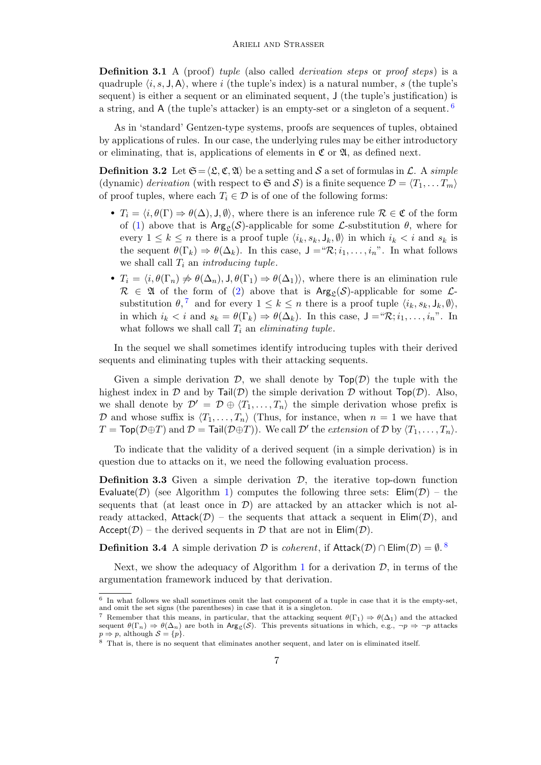**Definition 3.1** A (proof) tuple (also called *derivation steps* or proof steps) is a quadruple  $\langle i, s, J, A \rangle$ , where i (the tuple's index) is a natural number, s (the tuple's sequent) is either a sequent or an eliminated sequent, J (the tuple's justification) is a string, and A (the tuple's attacker) is an empty-set or a singleton of a sequent.  $6$ 

As in 'standard' Gentzen-type systems, proofs are sequences of tuples, obtained by applications of rules. In our case, the underlying rules may be either introductory or eliminating, that is, applications of elements in  $\mathfrak{C}$  or  $\mathfrak{A}$ , as defined next.

**Definition 3.2** Let  $\mathfrak{S} = \langle \mathfrak{L}, \mathfrak{C}, \mathfrak{A} \rangle$  be a setting and S a set of formulas in L. A simple (dynamic) derivation (with respect to  $\mathfrak{S}$  and  $\mathcal{S}$ ) is a finite sequence  $\mathcal{D} = \langle T_1, \ldots, T_m \rangle$ of proof tuples, where each  $T_i \in \mathcal{D}$  is of one of the following forms:

- $T_i = \langle i, \theta(\Gamma) \Rightarrow \theta(\Delta), J, \emptyset \rangle$ , where there is an inference rule  $\mathcal{R} \in \mathfrak{C}$  of the form of [\(1\)](#page-3-2) above that is  $Arg_{\rho}(\mathcal{S})$ -applicable for some *L*-substitution  $\theta$ , where for every  $1 \leq k \leq n$  there is a proof tuple  $\langle i_k, s_k, J_k, \emptyset \rangle$  in which  $i_k < i$  and  $s_k$  is the sequent  $\theta(\Gamma_k) \Rightarrow \theta(\Delta_k)$ . In this case,  $\mathsf{J} = \mathscr{R}; i_1, \ldots, i_n$ ". In what follows we shall call  $T_i$  an *introducing tuple*.
- $T_i = \langle i, \theta(\Gamma_n) \nRightarrow \theta(\Delta_n), J, \theta(\Gamma_1) \Rightarrow \theta(\Delta_1) \rangle$ , where there is an elimination rule  $\mathcal{R} \in \mathfrak{A}$  of the form of [\(2\)](#page-3-3) above that is  $\text{Arg}_{\mathfrak{L}}(\mathcal{S})$ -applicable for some  $\mathcal{L}$ substitution  $\theta$ ,<sup>[7](#page-6-1)</sup> and for every  $1 \leq k \leq n$  there is a proof tuple  $\langle i_k, s_k, J_k, \emptyset \rangle$ , in which  $i_k < i$  and  $s_k = \theta(\Gamma_k) \Rightarrow \theta(\Delta_k)$ . In this case,  $J = \mathcal{R}; i_1, \ldots, i_n$ ". In what follows we shall call  $T_i$  an *eliminating tuple*.

In the sequel we shall sometimes identify introducing tuples with their derived sequents and eliminating tuples with their attacking sequents.

Given a simple derivation  $\mathcal{D}$ , we shall denote by  $\mathsf{Top}(\mathcal{D})$  the tuple with the highest index in D and by Tail(D) the simple derivation D without  $Top(\mathcal{D})$ . Also, we shall denote by  $\mathcal{D}' = \mathcal{D} \oplus \langle T_1, \ldots, T_n \rangle$  the simple derivation whose prefix is D and whose suffix is  $\langle T_1, \ldots, T_n \rangle$  (Thus, for instance, when  $n = 1$  we have that  $T = \textsf{Top}(\mathcal{D} \oplus T)$  and  $\mathcal{D} = \textsf{Tail}(\mathcal{D} \oplus T)$ ). We call  $\mathcal{D}'$  the *extension* of  $\mathcal{D}$  by  $\langle T_1, \ldots, T_n \rangle$ .

To indicate that the validity of a derived sequent (in a simple derivation) is in question due to attacks on it, we need the following evaluation process.

**Definition 3.3** Given a simple derivation  $\mathcal{D}$ , the iterative top-down function Evaluate(D) (see Algorithm [1\)](#page-7-0) computes the following three sets:  $\text{Elim}(\mathcal{D})$  – the sequents that (at least once in  $\mathcal{D}$ ) are attacked by an attacker which is not already attacked, Attack( $\mathcal{D}$ ) – the sequents that attack a sequent in Elim( $\mathcal{D}$ ), and Accept( $\mathcal{D}$ ) – the derived sequents in  $\mathcal D$  that are not in  $\text{Elim}(\mathcal D)$ .

**Definition 3.4** A simple derivation  $D$  is *coherent*, if Attack $(D) \cap \text{Elim}(D) = \emptyset$ .

Next, we show the adequacy of Algorithm [1](#page-7-0) for a derivation  $\mathcal{D}$ , in terms of the argumentation framework induced by that derivation.

<span id="page-6-0"></span><sup>&</sup>lt;sup>6</sup> In what follows we shall sometimes omit the last component of a tuple in case that it is the empty-set, and omit the set signs (the parentheses) in case that it is a singleton.

<span id="page-6-1"></span><sup>&</sup>lt;sup>7</sup> Remember that this means, in particular, that the attacking sequent  $\theta(\Gamma_1) \Rightarrow \theta(\Delta_1)$  and the attacked sequent  $\theta(\Gamma_n) \Rightarrow \theta(\Delta_n)$  are both in  $\text{Arg}_{\mathcal{L}}(\mathcal{S})$ . This prevents situations in which, e.g.,  $\neg p \Rightarrow \neg p$  attacks  $p \Rightarrow p$ , although  $S = \{p\}.$ 

<span id="page-6-2"></span><sup>8</sup> That is, there is no sequent that eliminates another sequent, and later on is eliminated itself.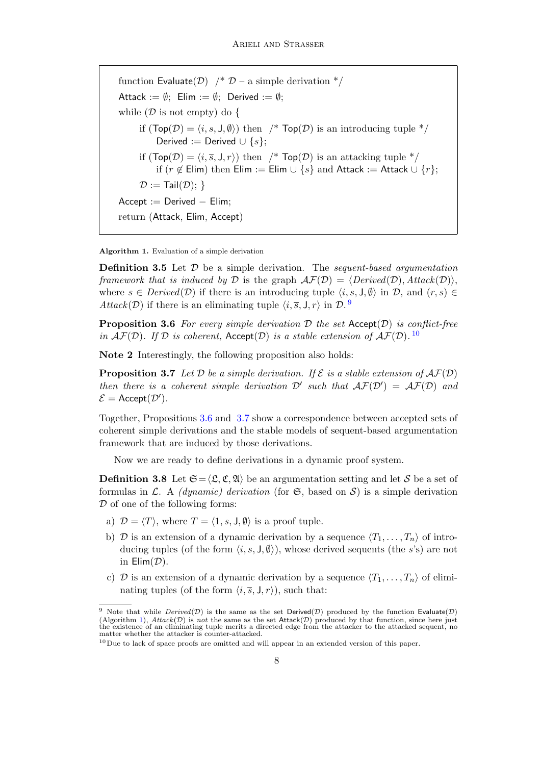function Evaluate( $\mathcal{D}$ ) /\*  $\mathcal{D}$  – a simple derivation \*/ Attack :=  $\emptyset$ ; Elim :=  $\emptyset$ ; Derived :=  $\emptyset$ ; while  $(D \text{ is not empty})$  do { if  $(Top(\mathcal{D}) = \langle i, s, J, \emptyset \rangle)$  then /\*  $Top(\mathcal{D})$  is an introducing tuple \*/ Derived := Derived  $\cup$  {s}; if  $(Top(\mathcal{D}) = \langle i, \overline{s}, J, r \rangle)$  then /\*  $Top(\mathcal{D})$  is an attacking tuple \*/ if (r ∉ Elim) then Elim := Elim ∪ {s} and Attack := Attack ∪ {r};  $\mathcal{D} := \text{Tail}(\mathcal{D})$ ; }  $Accept := Derived - Elim;$ return (Attack, Elim, Accept)

<span id="page-7-0"></span>Algorithm 1. Evaluation of a simple derivation

**Definition 3.5** Let  $D$  be a simple derivation. The *sequent-based argumentation* framework that is induced by D is the graph  $\mathcal{AF}(D) = \langle Derived(D), Attack(D)\rangle$ , where  $s \in Derived(\mathcal{D})$  if there is an introducing tuple  $\langle i, s, \mathsf{J}, \emptyset \rangle$  in  $\mathcal{D}$ , and  $(r, s) \in$ Attack(D) if there is an eliminating tuple  $\langle i, \overline{s}, J, r \rangle$  in D.

<span id="page-7-3"></span>**Proposition 3.6** For every simple derivation  $D$  the set  $Accent(D)$  is conflict-free in  $AF(D)$ . If D is coherent, Accept(D) is a stable extension of  $AF(D)$ . <sup>[10](#page-7-2)</sup>

Note 2 Interestingly, the following proposition also holds:

<span id="page-7-4"></span>**Proposition 3.7** Let  $D$  be a simple derivation. If  $\mathcal{E}$  is a stable extension of  $\mathcal{AF}(D)$ then there is a coherent simple derivation  $\mathcal{D}'$  such that  $\mathcal{AF}(\mathcal{D}') = \mathcal{AF}(\mathcal{D})$  and  $\mathcal{E} = \text{Accept}(\mathcal{D}').$ 

Together, Propositions [3.6](#page-7-3) and [3.7](#page-7-4) show a correspondence between accepted sets of coherent simple derivations and the stable models of sequent-based argumentation framework that are induced by those derivations.

Now we are ready to define derivations in a dynamic proof system.

<span id="page-7-5"></span>**Definition 3.8** Let  $\mathfrak{S} = \langle \mathfrak{L}, \mathfrak{C}, \mathfrak{A} \rangle$  be an argumentation setting and let S be a set of formulas in  $\mathcal{L}$ . A *(dynamic) derivation* (for  $\mathfrak{S}$ , based on  $\mathcal{S}$ ) is a simple derivation D of one of the following forms:

- a)  $\mathcal{D} = \langle T \rangle$ , where  $T = \langle 1, s, J, \emptyset \rangle$  is a proof tuple.
- b) D is an extension of a dynamic derivation by a sequence  $\langle T_1, \ldots, T_n \rangle$  of introducing tuples (of the form  $\langle i, s, J, \emptyset \rangle$ ), whose derived sequents (the s's) are not in  $\text{Elim}(\mathcal{D})$ .
- c) D is an extension of a dynamic derivation by a sequence  $\langle T_1, \ldots, T_n \rangle$  of eliminating tuples (of the form  $\langle i, \overline{s}, J, r \rangle$ ), such that:

<span id="page-7-1"></span><sup>&</sup>lt;sup>9</sup> Note that while  $Derived(D)$  is the same as the set Derived(D) produced by the function Evaluate(D) (Algorithm [1\)](#page-7-0),  $Attack(D)$  is not the same as the set  $Attack(D)$  produced by that function, since here just the existence of an eliminating tuple merits a directed edge from the attacker to the attacked sequent, no matter whether the attacker is counter-attacked.

<span id="page-7-2"></span><sup>10</sup> Due to lack of space proofs are omitted and will appear in an extended version of this paper.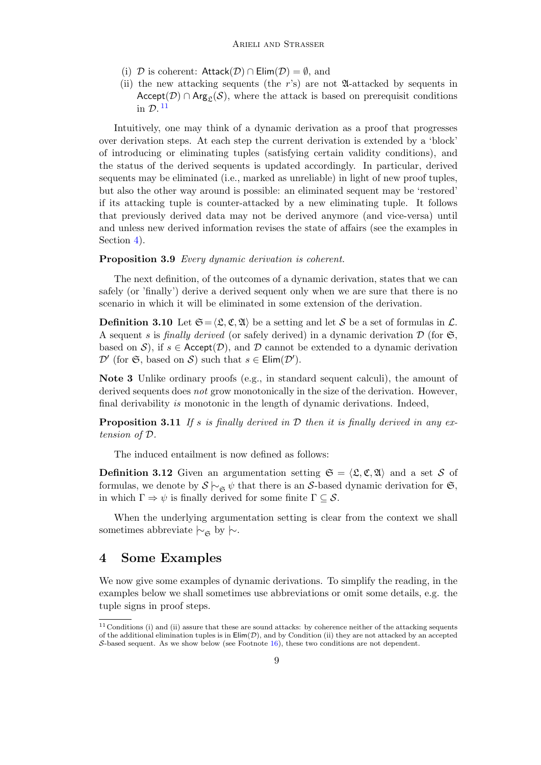- (i) D is coherent:  $\text{Attack}(\mathcal{D}) \cap \text{Elim}(\mathcal{D}) = \emptyset$ , and
- (ii) the new attacking sequents (the  $r$ 's) are not  $\mathfrak A$ -attacked by sequents in Accept( $\mathcal{D}$ ) ∩ Arg<sub>c</sub>( $\mathcal{S}$ ), where the attack is based on prerequisit conditions in  $\mathcal{D}.^{11}$  $\mathcal{D}.^{11}$  $\mathcal{D}.^{11}$

Intuitively, one may think of a dynamic derivation as a proof that progresses over derivation steps. At each step the current derivation is extended by a 'block' of introducing or eliminating tuples (satisfying certain validity conditions), and the status of the derived sequents is updated accordingly. In particular, derived sequents may be eliminated (i.e., marked as unreliable) in light of new proof tuples, but also the other way around is possible: an eliminated sequent may be 'restored' if its attacking tuple is counter-attacked by a new eliminating tuple. It follows that previously derived data may not be derived anymore (and vice-versa) until and unless new derived information revises the state of affairs (see the examples in Section [4\)](#page-8-1).

### Proposition 3.9 Every dynamic derivation is coherent.

The next definition, of the outcomes of a dynamic derivation, states that we can safely (or 'finally') derive a derived sequent only when we are sure that there is no scenario in which it will be eliminated in some extension of the derivation.

**Definition 3.10** Let  $\mathfrak{S} = \langle \mathfrak{L}, \mathfrak{C}, \mathfrak{A} \rangle$  be a setting and let S be a set of formulas in  $\mathcal{L}$ . A sequent s is finally derived (or safely derived) in a dynamic derivation  $\mathcal D$  (for  $\mathfrak S$ , based on S), if  $s \in \text{Accept}(\mathcal{D})$ , and  $\mathcal D$  cannot be extended to a dynamic derivation  $\mathcal{D}'$  (for  $\mathfrak{S}$ , based on S) such that  $s \in \text{Elim}(\mathcal{D}')$ .

Note 3 Unlike ordinary proofs (e.g., in standard sequent calculi), the amount of derived sequents does not grow monotonically in the size of the derivation. However, final derivability is monotonic in the length of dynamic derivations. Indeed,

<span id="page-8-4"></span>**Proposition 3.11** If s is finally derived in  $D$  then it is finally derived in any extension of D.

The induced entailment is now defined as follows:

<span id="page-8-3"></span>**Definition 3.12** Given an argumentation setting  $\mathfrak{S} = \langle \mathfrak{L}, \mathfrak{C}, \mathfrak{A} \rangle$  and a set S of formulas, we denote by  $S \vdash_{\mathfrak{S}} \psi$  that there is an S-based dynamic derivation for  $\mathfrak{S}$ , in which  $\Gamma \Rightarrow \psi$  is finally derived for some finite  $\Gamma \subseteq \mathcal{S}$ .

When the underlying argumentation setting is clear from the context we shall sometimes abbreviate  $\sim$ <sub>6</sub> by  $\sim$ .

### <span id="page-8-1"></span>4 Some Examples

We now give some examples of dynamic derivations. To simplify the reading, in the examples below we shall sometimes use abbreviations or omit some details, e.g. the tuple signs in proof steps.

<span id="page-8-2"></span><span id="page-8-0"></span> $11$  Conditions (i) and (ii) assure that these are sound attacks: by coherence neither of the attacking sequents of the additional elimination tuples is in  $\text{Elim}(\mathcal{D})$ , and by Condition (ii) they are not attacked by an accepted S-based sequent. As we show below (see Footnote  $16$ ), these two conditions are not dependent.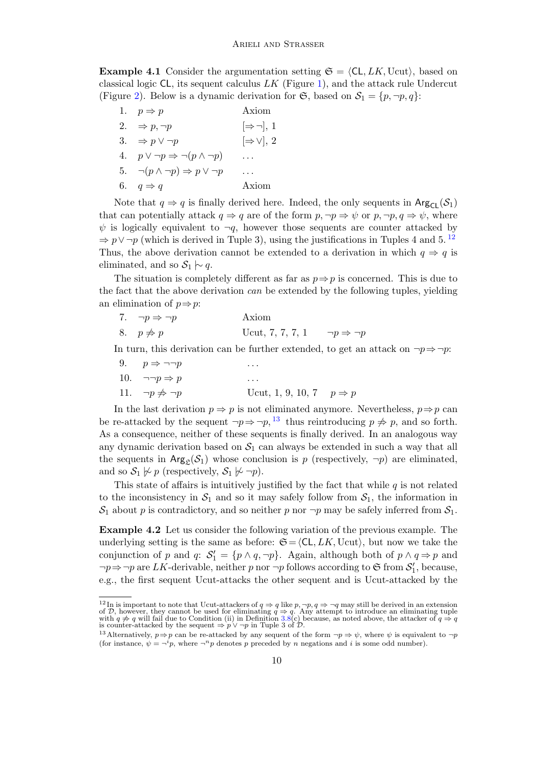**Example 4.1** Consider the argumentation setting  $\mathfrak{S} = \langle CL, LK, \text{Ucut} \rangle$ , based on classical logic  $CL$ , its sequent calculus  $LK$  (Figure [1\)](#page-4-0), and the attack rule Undercut (Figure [2\)](#page-5-0). Below is a dynamic derivation for  $\mathfrak{S}$ , based on  $\mathcal{S}_1 = \{p, \neg p, q\}$ :

| 1. $p \Rightarrow p$                                 | Axiom                   |
|------------------------------------------------------|-------------------------|
| 2. $\Rightarrow p, \neg p$                           | $[\Rightarrow \neg], 1$ |
| 3. $\Rightarrow p \lor \neg p$                       | $[\Rightarrow \vee], 2$ |
| 4. $p \lor \neg p \Rightarrow \neg (p \land \neg p)$ |                         |
| 5. $\neg(p \land \neg p) \Rightarrow p \lor \neg p$  |                         |
| 6. $q \Rightarrow q$                                 | Axiom                   |
|                                                      |                         |

Note that  $q \Rightarrow q$  is finally derived here. Indeed, the only sequents in Arg<sub>Cl</sub>(S<sub>1</sub>) that can potentially attack  $q \Rightarrow q$  are of the form  $p, \neg p \Rightarrow \psi$  or  $p, \neg p, q \Rightarrow \psi$ , where  $\psi$  is logically equivalent to  $\neg q$ , however those sequents are counter attacked by  $\Rightarrow p \vee \neg p$  (which is derived in Tuple 3), using the justifications in Tuples 4 and 5.<sup>[12](#page-9-0)</sup> Thus, the above derivation cannot be extended to a derivation in which  $q \Rightarrow q$  is eliminated, and so  $S_1 \sim q$ .

The situation is completely different as far as  $p \Rightarrow p$  is concerned. This is due to the fact that the above derivation can be extended by the following tuples, yielding an elimination of  $p \Rightarrow p$ :

7.  $\neg p \Rightarrow \neg p$  Axiom 8.  $p \neq p$  Ucut, 7, 7, 7, 1  $\neg p \Rightarrow \neg p$ 

In turn, this derivation can be further extended, to get an attack on  $\neg p \Rightarrow \neg p$ :

9.  $p \Rightarrow \neg \neg p$  ... 10.  $\neg\neg p \Rightarrow p$  ... 11.  $\neg p \nRightarrow \neg p$  Ucut, 1, 9, 10, 7  $p \Rightarrow p$ 

In the last derivation  $p \Rightarrow p$  is not eliminated anymore. Nevertheless,  $p \Rightarrow p$  can be re-attacked by the sequent  $\neg p \Rightarrow \neg p$ , <sup>[13](#page-9-1)</sup> thus reintroducing  $p \not\Rightarrow p$ , and so forth. As a consequence, neither of these sequents is finally derived. In an analogous way any dynamic derivation based on  $S_1$  can always be extended in such a way that all the sequents in  $Arg_{\mathcal{L}}(\mathcal{S}_1)$  whose conclusion is p (respectively,  $\neg p$ ) are eliminated, and so  $S_1 \not\sim p$  (respectively,  $S_1 \not\sim \neg p$ ).

This state of affairs is intuitively justified by the fact that while  $q$  is not related to the inconsistency in  $S_1$  and so it may safely follow from  $S_1$ , the information in  $S_1$  about p is contradictory, and so neither p nor  $\neg p$  may be safely inferred from  $S_1$ .

Example 4.2 Let us consider the following variation of the previous example. The underlying setting is the same as before:  $\mathfrak{S}=\langle\mathsf{CL}, LK, \mathsf{Ucut}\rangle$ , but now we take the conjunction of p and q:  $S'_1 = \{p \land q, \neg p\}$ . Again, although both of  $p \land q \Rightarrow p$  and  $\neg p \Rightarrow \neg p$  are LK-derivable, neither p nor  $\neg p$  follows according to G from  $S'_1$ , because, e.g., the first sequent Ucut-attacks the other sequent and is Ucut-attacked by the

<span id="page-9-0"></span><sup>&</sup>lt;sup>12</sup>In is important to note that Ucut-attackers of  $q \Rightarrow q$  like  $p, \neg p, q \Rightarrow \neg q$  may still be derived in an extension<br>of  $D$ , however, they cannot be used for eliminating  $q \Rightarrow q$ . Any attempt to introduce an eliminating tuple

<span id="page-9-1"></span><sup>&</sup>lt;sup>13</sup>Alternatively,  $p \Rightarrow p$  can be re-attacked by any sequent of the form  $\neg p \Rightarrow \psi$ , where  $\psi$  is equivalent to  $\neg p$ (for instance,  $\psi = \neg^i p$ , where  $\neg^n p$  denotes p preceded by n negations and i is some odd number).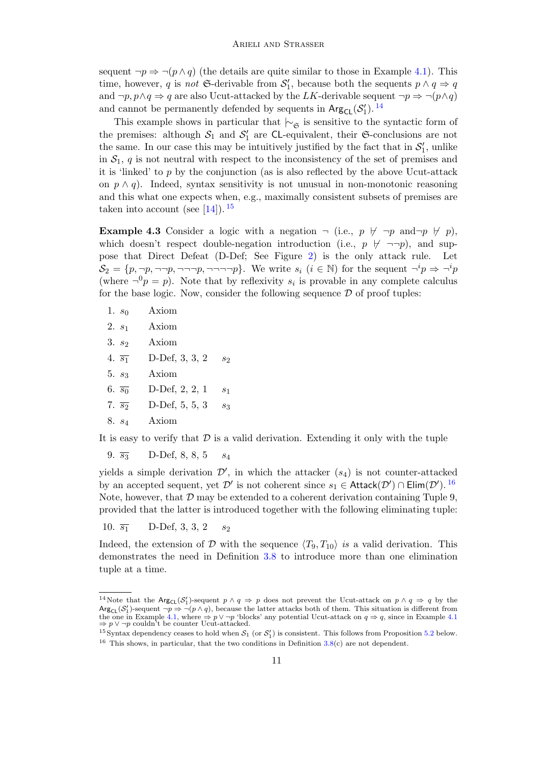sequent  $\neg p \Rightarrow \neg (p \land q)$  (the details are quite similar to those in Example [4.1\)](#page-8-2). This time, however, q is not G-derivable from  $S'_1$ , because both the sequents  $p \wedge q \Rightarrow q$ and  $\neg p, p \land q \Rightarrow q$  are also Ucut-attacked by the LK-derivable sequent  $\neg p \Rightarrow \neg (p \land q)$ and cannot be permanently defended by sequents in  $\text{Arg}_{\text{CL}}(\mathcal{S}'_1)$ . <sup>[14](#page-10-1)</sup>

This example shows in particular that  $\vdash_{\mathfrak{S}}$  is sensitive to the syntactic form of the premises: although  $S_1$  and  $S'_1$  are CL-equivalent, their G-conclusions are not the same. In our case this may be intuitively justified by the fact that in  $\mathcal{S}'_1$ , unlike in  $S_1$ , q is not neutral with respect to the inconsistency of the set of premises and it is 'linked' to  $p$  by the conjunction (as is also reflected by the above Ucut-attack on  $p \wedge q$ ). Indeed, syntax sensitivity is not unusual in non-monotonic reasoning and this what one expects when, e.g., maximally consistent subsets of premises are taken into account (see [\[14\]](#page-13-13)).  $^{15}$  $^{15}$  $^{15}$ 

<span id="page-10-3"></span>**Example 4.3** Consider a logic with a negation  $\neg$  (i.e.,  $p \nvdash \neg p$  and $\neg p \not\models p$ ), which doesn't respect double-negation introduction (i.e.,  $p \not\vdash \neg\neg p$ ), and suppose that Direct Defeat (D-Def; See Figure [2\)](#page-5-0) is the only attack rule. Let  $S_2 = \{p, \neg p, \neg \neg \neg p, \neg \neg \neg \neg p\}.$  We write  $s_i$   $(i \in \mathbb{N})$  for the sequent  $\neg^i p \Rightarrow \neg^i p$ (where  $\neg^{0}p = p$ ). Note that by reflexivity  $s_i$  is provable in any complete calculus for the base logic. Now, consider the following sequence  $D$  of proof tuples:

| S0 | Axiom |
|----|-------|
|    |       |

- 2.  $s_1$  Axiom
- 3.  $s_2$  Axiom
- 4.  $\overline{s_1}$  D-Def, 3, 3, 2  $s_2$
- $5. s_3$  Axiom
- 6.  $\overline{s_0}$  D-Def, 2, 2, 1  $s_1$
- 7.  $\overline{s_2}$  D-Def, 5, 5, 3  $s_3$
- 8. s<sup>4</sup> Axiom

It is easy to verify that  $\mathcal D$  is a valid derivation. Extending it only with the tuple

9.  $\overline{s_3}$  D-Def, 8, 8, 5  $s_4$ 

yields a simple derivation  $\mathcal{D}'$ , in which the attacker  $(s_4)$  is not counter-attacked by an accepted sequent, yet  $\mathcal{D}'$  is not coherent since  $s_1 \in$  Attack $(\mathcal{D}') \cap$  Elim $(\mathcal{D}')$ . <sup>[16](#page-10-0)</sup> Note, however, that  $D$  may be extended to a coherent derivation containing Tuple 9, provided that the latter is introduced together with the following eliminating tuple:

10.  $\overline{s_1}$  D-Def, 3, 3, 2  $s_2$ 

Indeed, the extension of D with the sequence  $\langle T_9, T_{10} \rangle$  is a valid derivation. This demonstrates the need in Definition [3.8](#page-7-5) to introduce more than one elimination tuple at a time.

<span id="page-10-1"></span><sup>&</sup>lt;sup>14</sup>Note that the  $Arg_{CL}(S'_1)$ -sequent  $p \wedge q \Rightarrow p$  does not prevent the Ucut-attack on  $p \wedge q \Rightarrow q$  by the  $Arg_{CL}(S'_1)$ -sequent  $\neg p \Rightarrow \neg (p \land q)$ , because the latter attacks both of them. This situation is different from the one in Example [4.1,](#page-8-2) where  $\Rightarrow p \lor \neg p$  'blocks' any potential Ucut-attack on  $q \Rightarrow q$ , since in Example [4.1](#page-8-2)  $\Rightarrow p \lor \neg p$  couldn't be counter Ucut-attacked.

<span id="page-10-2"></span><span id="page-10-0"></span><sup>&</sup>lt;sup>15</sup> Syntax dependency ceases to hold when  $S_1$  (or  $S'_1$ ) is consistent. This follows from Proposition [5.2](#page-11-1) below. <sup>16</sup> This shows, in particular, that the two conditions in Definition  $3.8(c)$  $3.8(c)$  are not dependent.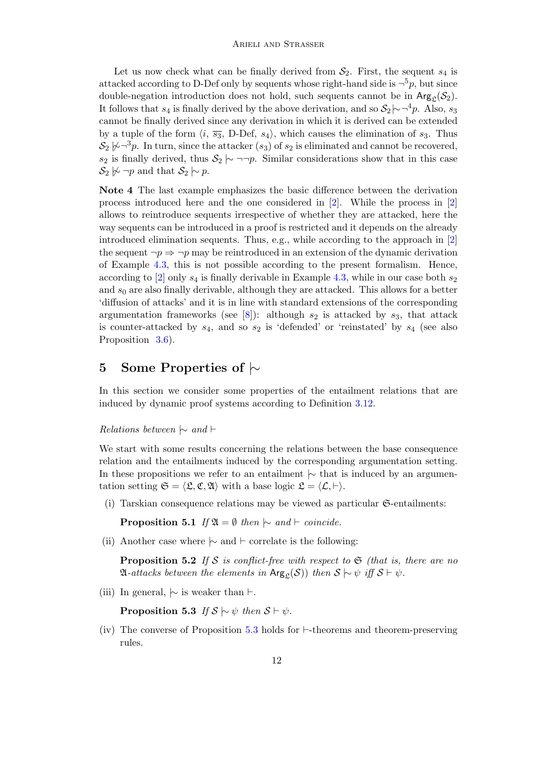Let us now check what can be finally derived from  $S_2$ . First, the sequent  $s_4$  is attacked according to D-Def only by sequents whose right-hand side is  $\neg^5 p$ , but since double-negation introduction does not hold, such sequents cannot be in  $Arg_{\mathcal{L}}(\mathcal{S}_2)$ . It follows that  $s_4$  is finally derived by the above derivation, and so  $S_2 \sim \neg^4 p$ . Also,  $s_3$ cannot be finally derived since any derivation in which it is derived can be extended by a tuple of the form  $\langle i, \overline{s_3}, D\text{-Def}, s_4 \rangle$ , which causes the elimination of  $s_3$ . Thus  $\mathcal{S}_2 \not\triangleright \neg^3 p$ . In turn, since the attacker  $(s_3)$  of  $s_2$  is eliminated and cannot be recovered, s<sub>2</sub> is finally derived, thus  $S_2 \sim \neg \neg p$ . Similar considerations show that in this case  $\mathcal{S}_2 \not\sim \neg p$  and that  $\mathcal{S}_2 \mid\sim p$ .

<span id="page-11-0"></span>Note 4 The last example emphasizes the basic difference between the derivation process introduced here and the one considered in [\[2\]](#page-13-7). While the process in [\[2\]](#page-13-7) allows to reintroduce sequents irrespective of whether they are attacked, here the way sequents can be introduced in a proof is restricted and it depends on the already introduced elimination sequents. Thus, e.g., while according to the approach in [\[2\]](#page-13-7) the sequent  $\neg p \Rightarrow \neg p$  may be reintroduced in an extension of the dynamic derivation of Example [4.3,](#page-10-3) this is not possible according to the present formalism. Hence, according to [\[2\]](#page-13-7) only  $s_4$  is finally derivable in Example [4.3,](#page-10-3) while in our case both  $s_2$ and  $s_0$  are also finally derivable, although they are attacked. This allows for a better 'diffusion of attacks' and it is in line with standard extensions of the corresponding argumentation frameworks (see [\[8\]](#page-13-8)): although  $s_2$  is attacked by  $s_3$ , that attack is counter-attacked by  $s_4$ , and so  $s_2$  is 'defended' or 'reinstated' by  $s_4$  (see also Proposition [3.6\)](#page-7-3).

# 5 Some Properties of |∼

In this section we consider some properties of the entailment relations that are induced by dynamic proof systems according to Definition [3.12.](#page-8-3)

*Relations between*  $\sim$  and  $\vdash$ 

We start with some results concerning the relations between the base consequence relation and the entailments induced by the corresponding argumentation setting. In these propositions we refer to an entailment  $\sim$  that is induced by an argumentation setting  $\mathfrak{S} = \langle \mathfrak{L}, \mathfrak{C}, \mathfrak{A} \rangle$  with a base logic  $\mathfrak{L} = \langle \mathcal{L}, \vdash \rangle$ .

<span id="page-11-3"></span>(i) Tarskian consequence relations may be viewed as particular  $\mathfrak{S}\text{-entailments:}$ 

**Proposition 5.1** If  $\mathfrak{A} = \emptyset$  then  $\sim$  and  $\vdash$  coincide.

<span id="page-11-1"></span>(ii) Another case where  $\sim$  and  $\vdash$  correlate is the following:

**Proposition 5.2** If S is conflict-free with respect to  $\mathfrak{S}$  (that is, there are no  $\mathfrak{A}\text{-} attacks between the elements in \,\text{Arg}_{\mathfrak{C}}(\mathcal{S})) \,\text{ then }\mathcal{S} \succ \psi \,\text{ iff } \mathcal{S} \vdash \psi.$ 

<span id="page-11-2"></span>(iii) In general,  $\sim$  is weaker than  $\vdash$ .

Proposition 5.3 If  $S \sim \psi$  then  $S \vdash \psi$ .

(iv) The converse of Proposition [5.3](#page-11-2) holds for  $\vdash$ -theorems and theorem-preserving rules.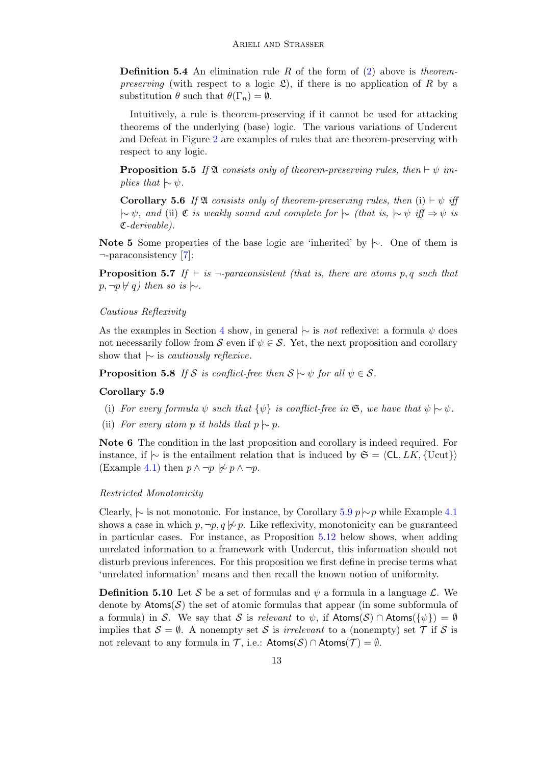**Definition 5.4** An elimination rule R of the form of  $(2)$  above is theorem*preserving* (with respect to a logic  $\mathfrak{L}$ ), if there is no application of R by a substitution  $\theta$  such that  $\theta(\Gamma_n) = \emptyset$ .

Intuitively, a rule is theorem-preserving if it cannot be used for attacking theorems of the underlying (base) logic. The various variations of Undercut and Defeat in Figure [2](#page-5-0) are examples of rules that are theorem-preserving with respect to any logic.

<span id="page-12-1"></span>**Proposition 5.5** If  $\mathfrak{A}$  consists only of theorem-preserving rules, then  $\vdash \psi$  implies that  $\sim \psi$ .

<span id="page-12-2"></span>**Corollary 5.6** If  $\mathfrak{A}$  consists only of theorem-preserving rules, then (i)  $\vdash \psi$  iff  $|~\sim \psi$ , and (ii)  $\mathfrak C$  is weakly sound and complete for  $|~\sim$  (that is,  $|~\sim \psi$  iff  $\Rightarrow \psi$  is C-derivable).

Note 5 Some properties of the base logic are 'inherited' by  $\vdash$ . One of them is ¬-paraconsistency [\[7\]](#page-13-14):

<span id="page-12-3"></span>**Proposition 5.7** If  $\vdash$  is  $\neg$ -paraconsistent (that is, there are atoms p, q such that  $p, \neg p \nvdash q)$  then so is  $\sim$ .

### Cautious Reflexivity

As the examples in Section [4](#page-8-1) show, in general  $\sim$  is *not* reflexive: a formula  $\psi$  does not necessarily follow from S even if  $\psi \in S$ . Yet, the next proposition and corollary show that  $\sim$  is *cautiously reflexive*.

<span id="page-12-4"></span>**Proposition 5.8** If S is conflict-free then  $S \sim \psi$  for all  $\psi \in S$ .

#### <span id="page-12-0"></span>Corollary 5.9

- (i) For every formula  $\psi$  such that  $\{\psi\}$  is conflict-free in  $\mathfrak{S}$ , we have that  $\psi \sim \psi$ .
- (ii) For every atom p it holds that  $p \sim p$ .

Note 6 The condition in the last proposition and corollary is indeed required. For instance, if  $\vdash$  is the entailment relation that is induced by  $\mathfrak{S} = \langle CL, LK, \{Ucut\}\rangle$ (Example [4.1\)](#page-8-2) then  $p \wedge \neg p \not\sim p \wedge \neg p$ .

### Restricted Monotonicity

Clearly,  $\sim$  is not monotonic. For instance, by Corollary [5.9](#page-12-0) p $\sim p$  while Example [4.1](#page-8-2) shows a case in which  $p, \neg p, q \not\triangleright p$ . Like reflexivity, monotonicity can be guaranteed in particular cases. For instance, as Proposition [5.12](#page-13-15) below shows, when adding unrelated information to a framework with Undercut, this information should not disturb previous inferences. For this proposition we first define in precise terms what 'unrelated information' means and then recall the known notion of uniformity.

**Definition 5.10** Let S be a set of formulas and  $\psi$  a formula in a language L. We denote by  $\mathsf{Atoms}(\mathcal{S})$  the set of atomic formulas that appear (in some subformula of a formula) in S. We say that S is relevant to  $\psi$ , if  $\text{Atoms}(S) \cap \text{Atoms}(\{\psi\}) = \emptyset$ implies that  $S = \emptyset$ . A nonempty set S is *irrelevant* to a (nonempty) set T if S is not relevant to any formula in  $\mathcal{T}$ , i.e.:  $\mathsf{Atoms}(\mathcal{S}) \cap \mathsf{Atoms}(\mathcal{T}) = \emptyset$ .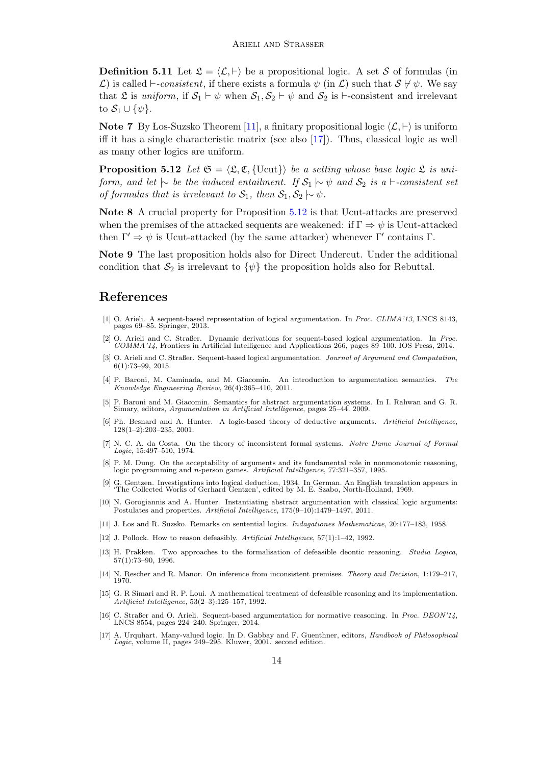**Definition 5.11** Let  $\mathfrak{L} = \langle \mathcal{L}, \vdash \rangle$  be a propositional logic. A set S of formulas (in L) is called  $\vdash$ -consistent, if there exists a formula  $\psi$  (in L) such that  $S \not\vdash \psi$ . We say that L is uniform, if  $S_1 \vdash \psi$  when  $S_1, S_2 \vdash \psi$  and  $S_2$  is  $\vdash$ -consistent and irrelevant to  $S_1 \cup {\psi}$ .

**Note 7** By Los-Suzsko Theorem [\[11\]](#page-13-16), a finitary propositional logic  $\langle \mathcal{L}, \cdot \rangle$  is uniform iff it has a single characteristic matrix (see also [\[17\]](#page-13-17)). Thus, classical logic as well as many other logics are uniform.

<span id="page-13-15"></span>**Proposition 5.12** Let  $\mathfrak{S} = \langle \mathfrak{L}, \mathfrak{C}, \{ \text{Ucut} \} \rangle$  be a setting whose base logic  $\mathfrak{L}$  is uniform, and let  $\sim$  be the induced entailment. If  $S_1 \sim \psi$  and  $S_2$  is a  $\vdash$ -consistent set of formulas that is irrelevant to  $S_1$ , then  $S_1, S_2 \rightarrow \psi$ .

<span id="page-13-18"></span>Note 8 A crucial property for Proposition [5.12](#page-13-15) is that Ucut-attacks are preserved when the premises of the attacked sequents are weakened: if  $\Gamma \Rightarrow \psi$  is Ucut-attacked then  $\Gamma' \Rightarrow \psi$  is Ucut-attacked (by the same attacker) whenever  $\Gamma'$  contains  $\Gamma$ .

<span id="page-13-19"></span>Note 9 The last proposition holds also for Direct Undercut. Under the additional condition that  $S_2$  is irrelevant to  $\{\psi\}$  the proposition holds also for Rebuttal.

### References

- <span id="page-13-4"></span>[1] O. Arieli. A sequent-based representation of logical argumentation. In Proc. CLIMA'13, LNCS 8143, pages 69–85. Springer, 2013.
- <span id="page-13-7"></span>[2] O. Arieli and C. Straßer. Dynamic derivations for sequent-based logical argumentation. In Proc. COMMA'14, Frontiers in Artificial Intelligence and Applications 266, pages 89–100. IOS Press, 2014.
- <span id="page-13-5"></span>[3] O. Arieli and C. Straßer. Sequent-based logical argumentation. Journal of Argument and Computation, 6(1):73–99, 2015.
- <span id="page-13-9"></span>[4] P. Baroni, M. Caminada, and M. Giacomin. An introduction to argumentation semantics. The Knowledge Engineering Review, 26(4):365–410, 2011.
- <span id="page-13-10"></span>[5] P. Baroni and M. Giacomin. Semantics for abstract argumentation systems. In I. Rahwan and G. R. Simary, editors, Argumentation in Artificial Intelligence, pages 25–44. 2009.
- <span id="page-13-0"></span>[6] Ph. Besnard and A. Hunter. A logic-based theory of deductive arguments. Artificial Intelligence, 128(1–2):203–235, 2001.
- <span id="page-13-14"></span>[7] N. C. A. da Costa. On the theory of inconsistent formal systems. Notre Dame Journal of Formal Logic, 15:497–510, 1974.
- <span id="page-13-8"></span>[8] P. M. Dung. On the acceptability of arguments and its fundamental role in nonmonotonic reasoning, logic programming and n-person games. Artificial Intelligence, 77:321–357, 1995.
- <span id="page-13-6"></span>[9] G. Gentzen. Investigations into logical deduction, 1934. In German. An English translation appears in 'The Collected Works of Gerhard Gentzen', edited by M. E. Szabo, North-Holland, 1969.
- <span id="page-13-11"></span>[10] N. Gorogiannis and A. Hunter. Instantiating abstract argumentation with classical logic arguments: Postulates and properties. Artificial Intelligence, 175(9–10):1479–1497, 2011.
- <span id="page-13-16"></span>[11] J. Los and R. Suzsko. Remarks on sentential logics. Indagationes Mathematicae, 20:177–183, 1958.
- <span id="page-13-1"></span>[12] J. Pollock. How to reason defeasibly. Artificial Intelligence, 57(1):1–42, 1992.
- <span id="page-13-2"></span>[13] H. Prakken. Two approaches to the formalisation of defeasible deontic reasoning. Studia Logica, 57(1):73–90, 1996.
- <span id="page-13-13"></span>[14] N. Rescher and R. Manor. On inference from inconsistent premises. Theory and Decision, 1:179–217, 1970.
- <span id="page-13-3"></span>[15] G. R Simari and R. P. Loui. A mathematical treatment of defeasible reasoning and its implementation. Artificial Intelligence, 53(2–3):125–157, 1992.
- <span id="page-13-12"></span>[16] C. Straßer and O. Arieli. Sequent-based argumentation for normative reasoning. In Proc. DEON'14, LNCS 8554, pages 224–240. Springer, 2014.
- <span id="page-13-17"></span>[17] A. Urquhart. Many-valued logic. In D. Gabbay and F. Guenthner, editors, Handbook of Philosophical Logic, volume II, pages 249–295. Kluwer, 2001. second edition.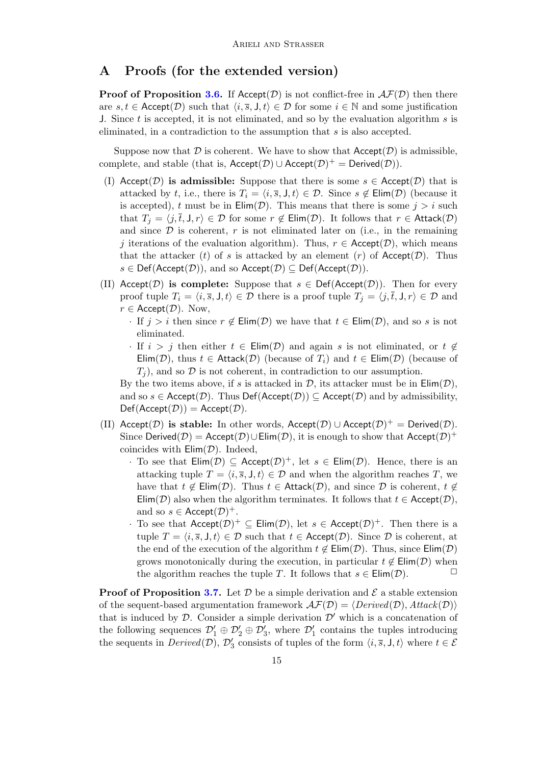### A Proofs (for the extended version)

**Proof of Proposition [3.6.](#page-7-3)** If Accept( $\mathcal{D}$ ) is not conflict-free in  $\mathcal{AF}(\mathcal{D})$  then there are  $s, t \in \text{Accept}(\mathcal{D})$  such that  $\langle i, \overline{s}, J, t \rangle \in \mathcal{D}$  for some  $i \in \mathbb{N}$  and some justification J. Since t is accepted, it is not eliminated, and so by the evaluation algorithm s is eliminated, in a contradiction to the assumption that s is also accepted.

Suppose now that  $\mathcal D$  is coherent. We have to show that  $Accept(\mathcal D)$  is admissible, complete, and stable (that is,  $Accept(\mathcal{D}) \cup Accept(\mathcal{D})^+ = Derived(\mathcal{D})$ ).

- (I) Accept( $\mathcal{D}$ ) is admissible: Suppose that there is some  $s \in \text{Accept}(\mathcal{D})$  that is attacked by t, i.e., there is  $T_i = \langle i, \overline{s}, J, t \rangle \in \mathcal{D}$ . Since  $s \notin \text{Elim}(\mathcal{D})$  (because it is accepted), t must be in  $\text{Elim}(\mathcal{D})$ . This means that there is some  $j > i$  such that  $T_i = \langle j, \overline{t}, J, r \rangle \in \mathcal{D}$  for some  $r \notin \text{Elim}(\mathcal{D})$ . It follows that  $r \in \text{Attack}(\mathcal{D})$ and since  $\mathcal D$  is coherent,  $r$  is not eliminated later on (i.e., in the remaining j iterations of the evaluation algorithm). Thus,  $r \in \text{Accept}(\mathcal{D})$ , which means that the attacker (t) of s is attacked by an element (r) of  $Accept(D)$ . Thus  $s \in \text{Def}(Accept(\mathcal{D}))$ , and so  $Accept(\mathcal{D}) \subset Def(Accept(\mathcal{D})).$
- (II) Accept( $\mathcal{D}$ ) is complete: Suppose that  $s \in \text{Def}( \text{Accept}(\mathcal{D}) )$ . Then for every proof tuple  $T_i = \langle i, \overline{s}, J, t \rangle \in \mathcal{D}$  there is a proof tuple  $T_i = \langle j, \overline{t}, J, r \rangle \in \mathcal{D}$  and  $r \in \text{Accept}(\mathcal{D})$ . Now,
	- · If  $j > i$  then since  $r \notin \text{Elim}(\mathcal{D})$  we have that  $t \in \text{Elim}(\mathcal{D})$ , and so s is not eliminated.
	- · If  $i > j$  then either  $t \in \text{Elim}(\mathcal{D})$  and again s is not eliminated, or  $t \notin \mathcal{D}$ Elim(D), thus  $t \in$  Attack(D) (because of  $T_i$ ) and  $t \in$  Elim(D) (because of  $T_i$ , and so  $\mathcal D$  is not coherent, in contradiction to our assumption.

By the two items above, if s is attacked in  $\mathcal{D}$ , its attacker must be in  $\text{Elim}(\mathcal{D})$ , and so  $s \in \text{Accept}(\mathcal{D})$ . Thus  $\text{Def}(\text{Accept}(\mathcal{D})) \subseteq \text{Accept}(\mathcal{D})$  and by admissibility,  $Def(Accept(D)) = Accept(D).$ 

- (II) Accept( $D$ ) is stable: In other words, Accept( $D$ ) ∪ Accept( $D$ )<sup>+</sup> = Derived( $D$ ). Since Derived( $\mathcal{D}$ ) = Accept( $\mathcal{D}$ ) $\cup$ Elim( $\mathcal{D}$ ), it is enough to show that Accept( $\mathcal{D}$ )<sup>+</sup> coincides with  $\text{Elim}(\mathcal{D})$ . Indeed,
	- · To see that  $\text{Elim}(\mathcal{D}) \subseteq \text{Accept}(\mathcal{D})^+$ , let  $s \in \text{Elim}(\mathcal{D})$ . Hence, there is an attacking tuple  $T = \langle i, \overline{s}, J, t \rangle \in \mathcal{D}$  and when the algorithm reaches T, we have that  $t \notin \text{Elim}(\mathcal{D})$ . Thus  $t \in \text{Attack}(\mathcal{D})$ , and since  $\mathcal D$  is coherent,  $t \notin \text{Elim}(\mathcal{D})$ . Elim(D) also when the algorithm terminates. It follows that  $t \in \mathsf{Accept}(\mathcal{D})$ , and so  $s \in \text{Accept}(\mathcal{D})^+$ .
	- To see that  $Accept(\mathcal{D})^+ \subseteq Elim(\mathcal{D})$ , let  $s \in Accept(\mathcal{D})^+$ . Then there is a tuple  $T = \langle i, \overline{s}, J, t \rangle \in \mathcal{D}$  such that  $t \in \mathsf{Accept}(\mathcal{D})$ . Since  $\mathcal D$  is coherent, at the end of the execution of the algorithm  $t \notin \text{Elim}(\mathcal{D})$ . Thus, since  $\text{Elim}(\mathcal{D})$ grows monotonically during the execution, in particular  $t \notin \text{Elim}(\mathcal{D})$  when the algorithm reaches the tuple T. It follows that  $s \in \text{Elim}(\mathcal{D})$ .

**Proof of Proposition [3.7.](#page-7-4)** Let  $\mathcal{D}$  be a simple derivation and  $\mathcal{E}$  a stable extension of the sequent-based argumentation framework  $\mathcal{AF}(D) = \langle Derived(\mathcal{D}), Attack(\mathcal{D})\rangle$ that is induced by  $\mathcal{D}$ . Consider a simple derivation  $\mathcal{D}'$  which is a concatenation of the following sequences  $\mathcal{D}'_1 \oplus \mathcal{D}'_2 \oplus \mathcal{D}'_3$ , where  $\mathcal{D}'_1$  contains the tuples introducing the sequents in  $\text{Derived}(\mathcal{D}), \mathcal{D}_3'$  consists of tuples of the form  $\langle i, \overline{s}, J, t \rangle$  where  $t \in \mathcal{E}$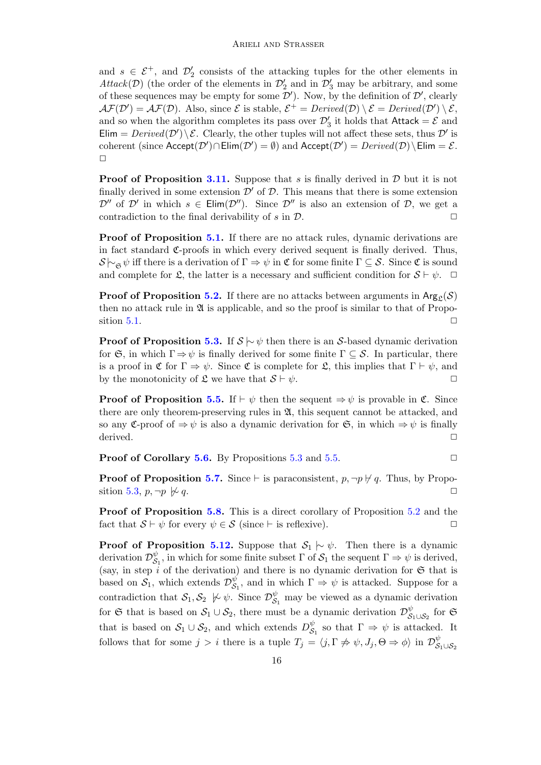and  $s \in \mathcal{E}^+$ , and  $\mathcal{D}'_2$  consists of the attacking tuples for the other elements in Attack(D) (the order of the elements in  $\mathcal{D}'_2$  and in  $\mathcal{D}'_3$  may be arbitrary, and some of these sequences may be empty for some  $\mathcal{D}'$ ). Now, by the definition of  $\mathcal{D}'$ , clearly  $\mathcal{AF}(\mathcal{D}') = \mathcal{AF}(\mathcal{D})$ . Also, since  $\mathcal{E}$  is stable,  $\mathcal{E}^+ = Derived(\mathcal{D}) \setminus \mathcal{E} = Derived(\mathcal{D}') \setminus \mathcal{E}$ , and so when the algorithm completes its pass over  $\mathcal{D}'_3$  it holds that  $\mathsf{Attack} = \mathcal{E}$  and Elim =  $Derived(\mathcal{D}')\backslash \mathcal{E}$ . Clearly, the other tuples will not affect these sets, thus  $\mathcal{D}'$  is coherent (since  $Accept(\mathcal{D}') \cap Elim(\mathcal{D}') = \emptyset)$  and  $Accept(\mathcal{D}') = Derived(\mathcal{D}) \setminus Elim = \mathcal{E}$ .  $\Box$ 

**Proof of Proposition [3.11.](#page-8-4)** Suppose that s is finally derived in  $\mathcal{D}$  but it is not finally derived in some extension  $\mathcal{D}'$  of  $\mathcal{D}$ . This means that there is some extension  $\mathcal{D}''$  of  $\mathcal{D}'$  in which  $s \in \text{Elim}(\mathcal{D}'')$ . Since  $\mathcal{D}''$  is also an extension of  $\mathcal{D}$ , we get a contradiction to the final derivability of  $s$  in  $\mathcal{D}$ .

Proof of Proposition [5.1.](#page-11-3) If there are no attack rules, dynamic derivations are in fact standard  $\mathfrak{C}$ -proofs in which every derived sequent is finally derived. Thus,  $\mathcal{S} \rightarrowtail_{\mathfrak{S}} \psi$  iff there is a derivation of  $\Gamma \Rightarrow \psi$  in  $\mathfrak{C}$  for some finite  $\Gamma \subseteq \mathcal{S}$ . Since  $\mathfrak{C}$  is sound and complete for L, the latter is a necessary and sufficient condition for  $S \vdash \psi$ .  $\Box$ 

**Proof of Proposition [5.2.](#page-11-1)** If there are no attacks between arguments in  $\text{Arg}_{\mathcal{C}}(\mathcal{S})$ then no attack rule in  $\mathfrak A$  is applicable, and so the proof is similar to that of Propo-sition [5.1.](#page-11-3)  $\Box$ 

**Proof of Proposition [5.3.](#page-11-2)** If  $S \sim \psi$  then there is an S-based dynamic derivation for  $\mathfrak{S}$ , in which  $\Gamma \Rightarrow \psi$  is finally derived for some finite  $\Gamma \subseteq \mathcal{S}$ . In particular, there is a proof in  $\mathfrak C$  for  $\Gamma \Rightarrow \psi$ . Since  $\mathfrak C$  is complete for  $\mathfrak L$ , this implies that  $\Gamma \vdash \psi$ , and by the monotonicity of  $\mathfrak{L}$  we have that  $S \vdash \psi$ .

**Proof of Proposition [5.5.](#page-12-1)** If  $\vdash \psi$  then the sequent  $\Rightarrow \psi$  is provable in  $\mathfrak{C}$ . Since there are only theorem-preserving rules in  $\mathfrak{A}$ , this sequent cannot be attacked, and so any C-proof of  $\Rightarrow \psi$  is also a dynamic derivation for G, in which  $\Rightarrow \psi$  is finally derived.  $\Box$ 

**Proof of Corollary [5.6.](#page-12-2)** By Propositions [5.3](#page-11-2) and [5.5.](#page-12-1)  $\Box$ 

**Proof of Proposition [5.7.](#page-12-3)** Since  $\vdash$  is paraconsistent,  $p, \neg p \nvdash q$ . Thus, by Propo-sition [5.3,](#page-11-2)  $p, \neg p \not\triangleright q$ .  $\Box$ 

Proof of Proposition [5.8.](#page-12-4) This is a direct corollary of Proposition [5.2](#page-11-1) and the fact that  $S \vdash \psi$  for every  $\psi \in S$  (since  $\vdash$  is reflexive).

**Proof of Proposition [5.12.](#page-13-15)** Suppose that  $S_1 \nvert \sim \psi$ . Then there is a dynamic derivation  $\mathcal{D}_{\mathcal{S}}^{\psi}$  $\mathcal{S}_1^{\psi}$ , in which for some finite subset  $\Gamma$  of  $\mathcal{S}_1$  the sequent  $\Gamma \Rightarrow \psi$  is derived, (say, in step  $i$  of the derivation) and there is no dynamic derivation for  $\mathfrak S$  that is based on  $S_1$ , which extends  $\mathcal{D}_{\mathcal{S}}^{\psi}$  $\mathcal{S}_1^{\psi}$ , and in which  $\Gamma \Rightarrow \psi$  is attacked. Suppose for a contradiction that  $S_1, S_2 \nvDash \psi$ . Since  $\mathcal{D}_{S_1}^{\psi}$  may be viewed as a dynamic derivation for G that is based on  $S_1 \cup S_2$ , there must be a dynamic derivation  $\mathcal{D}_{\mathcal{S}}^{\psi}$  $\int_{\mathcal{S}_1\cup\mathcal{S}_2}^{\psi}$  for  $\mathfrak{S}$ that is based on  $S_1 \cup S_2$ , and which extends  $D_S^{\psi}$  $\overset{\psi}{\mathcal{S}}_1$  so that  $\Gamma \Rightarrow \psi$  is attacked. It follows that for some  $j > i$  there is a tuple  $T_j = \langle j, \Gamma \nRightarrow \psi, J_j, \Theta \Rightarrow \phi \rangle$  in  $\mathcal{D}_{\mathcal{S}}^{\psi}$  $\mathcal{S}_1 \cup \mathcal{S}_2$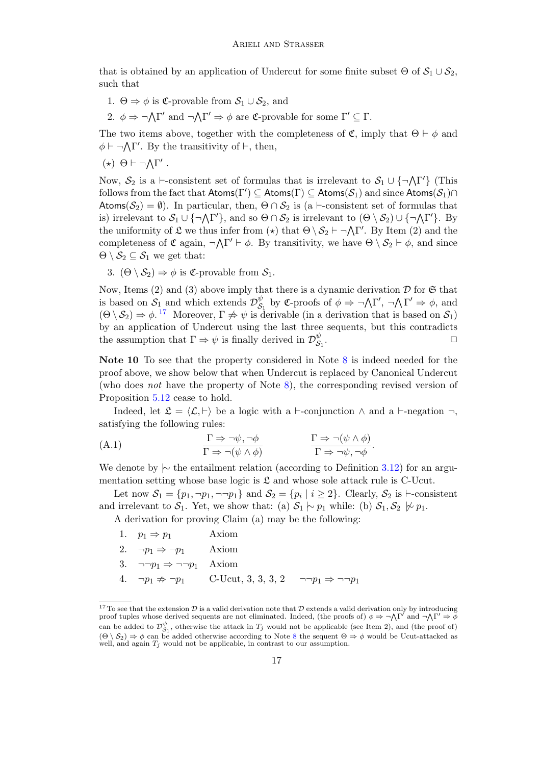that is obtained by an application of Undercut for some finite subset  $\Theta$  of  $S_1 \cup S_2$ , such that

- 1.  $\Theta \Rightarrow \phi$  is **C**-provable from  $S_1 \cup S_2$ , and
- 2.  $\phi \Rightarrow \neg \Lambda \Gamma'$  and  $\neg \Lambda \Gamma' \Rightarrow \phi$  are **C**-provable for some  $\Gamma' \subseteq \Gamma$ .

The two items above, together with the completeness of  $\mathfrak{C}$ , imply that  $\Theta \vdash \phi$  and  $\phi \vdash \neg \bigwedge \Gamma'$ . By the transitivity of  $\vdash$ , then,

(\*)  $Θ$   $\vdash$  ¬ $ΛΓ'$  .

Now,  $S_2$  is a  $\vdash$ -consistent set of formulas that is irrelevant to  $S_1 \cup {\neg \Lambda \Gamma'}$  (This follows from the fact that  $\mathsf{Atoms}(\Gamma') \subseteq \mathsf{Atoms}(\Gamma) \subseteq \mathsf{Atoms}(\mathcal{S}_1)$  and  $\mathrm{since}\ \mathsf{Atoms}(\mathcal{S}_1) \cap$ Atoms( $S_2$ ) =  $\emptyset$ ). In particular, then,  $\Theta \cap S_2$  is (a  $\vdash$ -consistent set of formulas that is) irrelevant to  $S_1 \cup \{\neg \Lambda \Gamma'\}$ , and so  $\Theta \cap S_2$  is irrelevant to  $(\Theta \setminus S_2) \cup \{\neg \Lambda \Gamma'\}$ . By the uniformity of  $\mathfrak L$  we thus infer from  $(\star)$  that  $\Theta \setminus \mathcal S_2 \vdash \neg \bigwedge \Gamma'$ . By Item (2) and the completeness of  $\mathfrak{C}$  again,  $\neg \Lambda \Gamma' \vdash \phi$ . By transitivity, we have  $\Theta \setminus \mathcal{S}_2 \vdash \phi$ , and since  $\Theta \setminus \mathcal{S}_2 \subseteq \mathcal{S}_1$  we get that:

3.  $(\Theta \setminus \mathcal{S}_2) \Rightarrow \phi$  is **C**-provable from  $\mathcal{S}_1$ .

Now, Items (2) and (3) above imply that there is a dynamic derivation  $\mathcal D$  for  $\mathfrak S$  that is based on  $S_1$  and which extends  $\mathcal{D}_{\mathcal{S}}^{\psi}$  $\int_{S_1}^{\psi}$  by **C**-proofs of  $\phi \Rightarrow \neg \Lambda \Gamma', \neg \Lambda \Gamma' \Rightarrow \phi$ , and  $(\Theta \setminus \mathcal{S}_2) \Rightarrow \phi$ .<sup>[17](#page-16-0)</sup> Moreover,  $\Gamma \not\Rightarrow \psi$  is derivable (in a derivation that is based on  $\mathcal{S}_1$ ) by an application of Undercut using the last three sequents, but this contradicts the assumption that  $\Gamma \Rightarrow \psi$  is finally derived in  $\mathcal{D}_{\mathcal{S}}^{\psi}$  $\mathcal{S}_1$ .  $\Box$ 

Note 10 To see that the property considered in Note [8](#page-13-18) is indeed needed for the proof above, we show below that when Undercut is replaced by Canonical Undercut (who does not have the property of Note [8\)](#page-13-18), the corresponding revised version of Proposition [5.12](#page-13-15) cease to hold.

<span id="page-16-1"></span>Indeed, let  $\mathfrak{L} = \langle \mathcal{L}, \vdash \rangle$  be a logic with a  $\vdash$ -conjunction  $\land$  and a  $\vdash$ -negation  $\neg$ , satisfying the following rules:

(A.1) 
$$
\frac{\Gamma \Rightarrow \neg \psi, \neg \phi}{\Gamma \Rightarrow \neg (\psi \land \phi)} \qquad \qquad \frac{\Gamma \Rightarrow \neg (\psi \land \phi)}{\Gamma \Rightarrow \neg \psi, \neg \phi}.
$$

We denote by  $\sim$  the entailment relation (according to Definition [3.12\)](#page-8-3) for an argumentation setting whose base logic is  $\mathfrak L$  and whose sole attack rule is C-Ucut.

Let now  $S_1 = \{p_1, \neg p_1, \neg \neg p_1\}$  and  $S_2 = \{p_i \mid i \geq 2\}$ . Clearly,  $S_2$  is  $\vdash$ -consistent and irrelevant to  $S_1$ . Yet, we show that: (a)  $S_1 \sim p_1$  while: (b)  $S_1, S_2 \not\sim p_1$ .

A derivation for proving Claim (a) may be the following:

1.  $p_1 \Rightarrow p_1$  Axiom 2.  $\neg p_1 \Rightarrow \neg p_1$  Axiom 3.  $\neg\neg p_1 \Rightarrow \neg \neg p_1$  Axiom 4.  $\neg p_1 \nRightarrow \neg p_1$  C-Ucut, 3, 3, 3, 2  $\neg \neg p_1 \Rightarrow \neg \neg p_1$ 

<span id="page-16-0"></span><sup>&</sup>lt;sup>17</sup>To see that the extension  $D$  is a valid derivation note that  $D$  extends a valid derivation only by introducing proof tuples whose derived sequents are not eliminated. Indeed, (the proofs of)  $\phi \Rightarrow \neg \Lambda \Gamma'$  and  $\neg \Lambda \Gamma' \Rightarrow \vec{\phi}$ can be added to  $\mathcal{D}_{\mathcal{S}_1}^{\psi}$ , otherwise the attack in  $T_j$  would not be applicable (see Item 2), and (the proof of)  $(\Theta \setminus S_2) \Rightarrow \phi$  can be added otherwise according to Note [8](#page-13-18) the sequent  $\Theta \Rightarrow \phi$  would be Ucut-attacked as well, and again  $T_j$  would not be applicable, in contrast to our assumption.